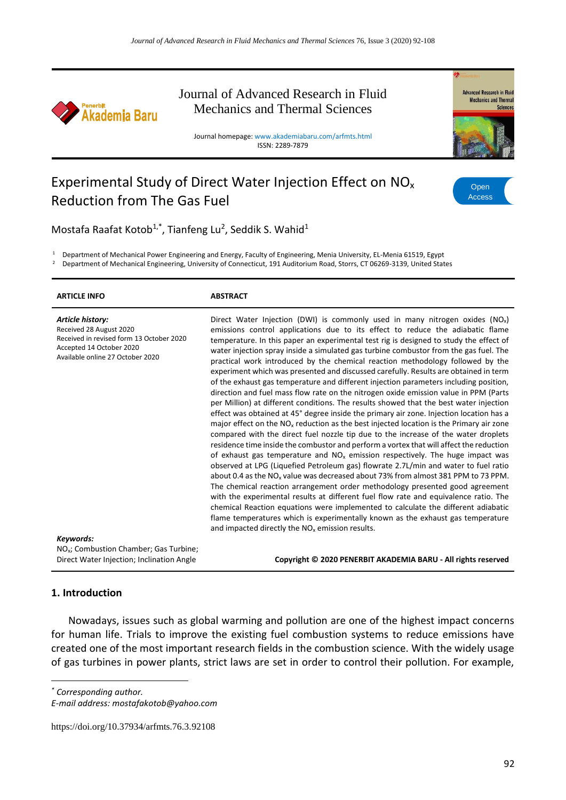

# Journal of Advanced Research in Fluid Mechanics and Thermal Sciences

Journal homepage: www.akademiabaru.com/arfmts.html ISSN: 2289-7879



# Experimental Study of Direct Water Injection Effect on NO<sup>x</sup> Reduction from The Gas Fuel



Mostafa Raafat Kotob<sup>1,\*</sup>, Tianfeng Lu<sup>2</sup>, Seddik S. Wahid<sup>1</sup>

<sup>1</sup> Department of Mechanical Power Engineering and Energy, Faculty of Engineering, Menia University, EL-Menia 61519, Egypt

<sup>2</sup> Department of Mechanical Engineering, University of Connecticut, 191 Auditorium Road, Storrs, CT 06269-3139, United States

| <b>ARTICLE INFO</b>                                                                                                                                                  | <b>ABSTRACT</b>                                                                                                                                                                                                                                                                                                                                                                                                                                                                                                                                                                                                                                                                                                                                                                                                                                                                                                                                                                                                                                                                                                                                                                                                                                                                                                                                                                                                                                                                                                                                                                                                                                                                                                                                                                                                                                                   |
|----------------------------------------------------------------------------------------------------------------------------------------------------------------------|-------------------------------------------------------------------------------------------------------------------------------------------------------------------------------------------------------------------------------------------------------------------------------------------------------------------------------------------------------------------------------------------------------------------------------------------------------------------------------------------------------------------------------------------------------------------------------------------------------------------------------------------------------------------------------------------------------------------------------------------------------------------------------------------------------------------------------------------------------------------------------------------------------------------------------------------------------------------------------------------------------------------------------------------------------------------------------------------------------------------------------------------------------------------------------------------------------------------------------------------------------------------------------------------------------------------------------------------------------------------------------------------------------------------------------------------------------------------------------------------------------------------------------------------------------------------------------------------------------------------------------------------------------------------------------------------------------------------------------------------------------------------------------------------------------------------------------------------------------------------|
| Article history:<br>Received 28 August 2020<br>Received in revised form 13 October 2020<br>Accepted 14 October 2020<br>Available online 27 October 2020<br>Keywords: | Direct Water Injection (DWI) is commonly used in many nitrogen oxides $(NO_x)$<br>emissions control applications due to its effect to reduce the adiabatic flame<br>temperature. In this paper an experimental test rig is designed to study the effect of<br>water injection spray inside a simulated gas turbine combustor from the gas fuel. The<br>practical work introduced by the chemical reaction methodology followed by the<br>experiment which was presented and discussed carefully. Results are obtained in term<br>of the exhaust gas temperature and different injection parameters including position,<br>direction and fuel mass flow rate on the nitrogen oxide emission value in PPM (Parts<br>per Million) at different conditions. The results showed that the best water injection<br>effect was obtained at 45° degree inside the primary air zone. Injection location has a<br>major effect on the $NOx$ reduction as the best injected location is the Primary air zone<br>compared with the direct fuel nozzle tip due to the increase of the water droplets<br>residence time inside the combustor and perform a vortex that will affect the reduction<br>of exhaust gas temperature and $NOx$ emission respectively. The huge impact was<br>observed at LPG (Liquefied Petroleum gas) flowrate 2.7L/min and water to fuel ratio<br>about 0.4 as the NO <sub>x</sub> value was decreased about 73% from almost 381 PPM to 73 PPM.<br>The chemical reaction arrangement order methodology presented good agreement<br>with the experimental results at different fuel flow rate and equivalence ratio. The<br>chemical Reaction equations were implemented to calculate the different adiabatic<br>flame temperatures which is experimentally known as the exhaust gas temperature<br>and impacted directly the $NOx$ emission results. |
| NO <sub>x</sub> ; Combustion Chamber; Gas Turbine;                                                                                                                   |                                                                                                                                                                                                                                                                                                                                                                                                                                                                                                                                                                                                                                                                                                                                                                                                                                                                                                                                                                                                                                                                                                                                                                                                                                                                                                                                                                                                                                                                                                                                                                                                                                                                                                                                                                                                                                                                   |

Direct Water Injection; Inclination Angle **Copyright © 2020 PENERBIT AKADEMIA BARU - All rights reserved**

#### **1. Introduction**

Nowadays, issues such as global warming and pollution are one of the highest impact concerns for human life. Trials to improve the existing fuel combustion systems to reduce emissions have created one of the most important research fields in the combustion science. With the widely usage of gas turbines in power plants, strict laws are set in order to control their pollution. For example,

*\* Corresponding author.*

https://doi.org/10.37934/arfmts.76.3.92108

*E-mail address: mostafakotob@yahoo.com*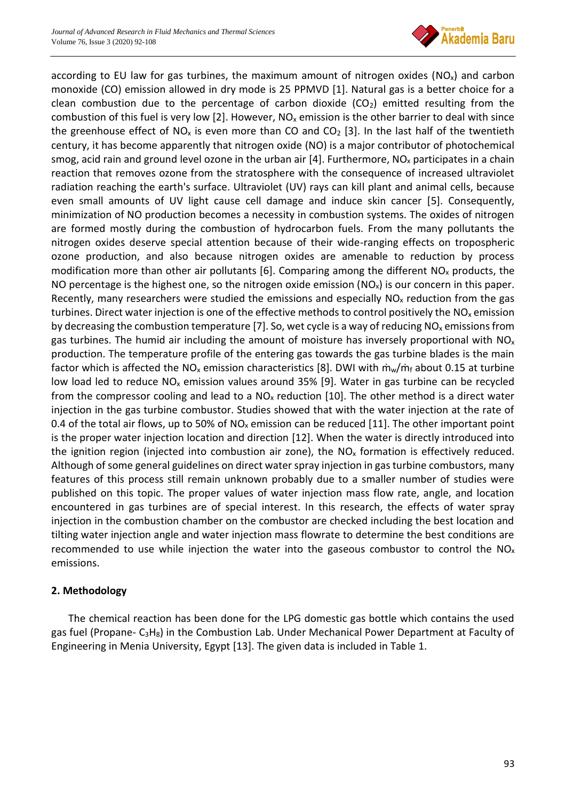

according to EU law for gas turbines, the maximum amount of nitrogen oxides ( $NO<sub>x</sub>$ ) and carbon monoxide (CO) emission allowed in dry mode is 25 PPMVD [1]. Natural gas is a better choice for a clean combustion due to the percentage of carbon dioxide  $(CO<sub>2</sub>)$  emitted resulting from the combustion of this fuel is very low [2]. However,  $NO<sub>x</sub>$  emission is the other barrier to deal with since the greenhouse effect of NO<sub>x</sub> is even more than CO and CO<sub>2</sub> [3]. In the last half of the twentieth century, it has become apparently that nitrogen oxide (NO) is a major contributor of photochemical smog, acid rain and ground level ozone in the urban air  $[4]$ . Furthermore, NO<sub>x</sub> participates in a chain reaction that removes ozone from the stratosphere with the consequence of increased ultraviolet radiation reaching the earth's surface. Ultraviolet (UV) rays can kill plant and animal cells, because even small amounts of UV light cause cell damage and induce skin cancer [5]. Consequently, minimization of NO production becomes a necessity in combustion systems. The oxides of nitrogen are formed mostly during the combustion of hydrocarbon fuels. From the many pollutants the nitrogen oxides deserve special attention because of their wide-ranging effects on tropospheric ozone production, and also because nitrogen oxides are amenable to reduction by process modification more than other air pollutants [6]. Comparing among the different  $NO<sub>x</sub>$  products, the NO percentage is the highest one, so the nitrogen oxide emission ( $NO<sub>x</sub>$ ) is our concern in this paper. Recently, many researchers were studied the emissions and especially  $NO<sub>x</sub>$  reduction from the gas turbines. Direct water injection is one of the effective methods to control positively the  $NO<sub>x</sub>$  emission by decreasing the combustion temperature [7]. So, wet cycle is a way of reducing NO<sub>x</sub> emissions from gas turbines. The humid air including the amount of moisture has inversely proportional with  $NO<sub>x</sub>$ production. The temperature profile of the entering gas towards the gas turbine blades is the main factor which is affected the NO<sub>x</sub> emission characteristics [8]. DWI with  $\dot{m}_w/\dot{m}_f$  about 0.15 at turbine low load led to reduce  $NO<sub>x</sub>$  emission values around 35% [9]. Water in gas turbine can be recycled from the compressor cooling and lead to a  $NO<sub>x</sub>$  reduction [10]. The other method is a direct water injection in the gas turbine combustor. Studies showed that with the water injection at the rate of 0.4 of the total air flows, up to 50% of  $NO_x$  emission can be reduced [11]. The other important point is the proper water injection location and direction [12]. When the water is directly introduced into the ignition region (injected into combustion air zone), the  $NO<sub>x</sub>$  formation is effectively reduced. Although of some general guidelines on direct water spray injection in gas turbine combustors, many features of this process still remain unknown probably due to a smaller number of studies were published on this topic. The proper values of water injection mass flow rate, angle, and location encountered in gas turbines are of special interest. In this research, the effects of water spray injection in the combustion chamber on the combustor are checked including the best location and tilting water injection angle and water injection mass flowrate to determine the best conditions are recommended to use while injection the water into the gaseous combustor to control the  $NO<sub>x</sub>$ emissions.

## **2. Methodology**

The chemical reaction has been done for the LPG domestic gas bottle which contains the used gas fuel (Propane- C3H8) in the Combustion Lab. Under Mechanical Power Department at Faculty of Engineering in Menia University, Egypt [13]. The given data is included in Table 1.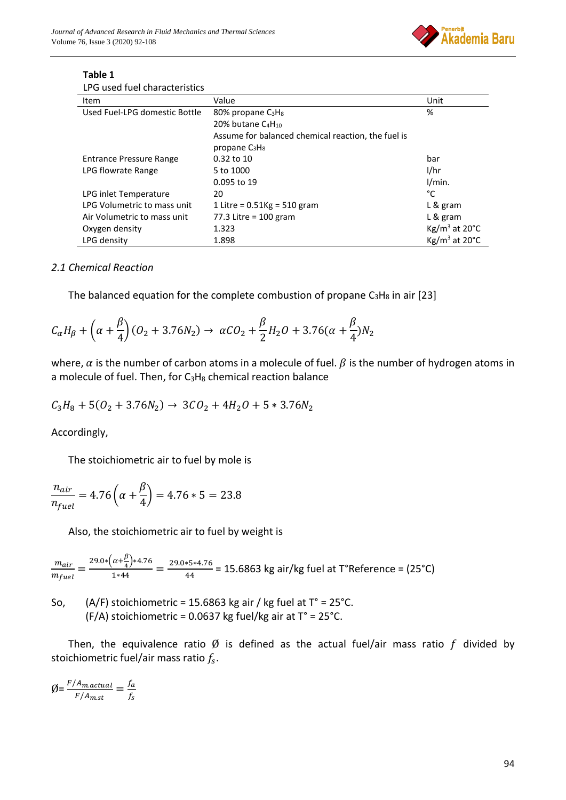

| LPG used fuel characteristics  |                                                    |                                       |
|--------------------------------|----------------------------------------------------|---------------------------------------|
| Item                           | Value                                              | Unit                                  |
| Used Fuel-LPG domestic Bottle  | 80% propane C <sub>3</sub> H <sub>8</sub>          | %                                     |
|                                | 20% butane C <sub>4</sub> H <sub>10</sub>          |                                       |
|                                | Assume for balanced chemical reaction, the fuel is |                                       |
|                                | propane $C_3H_8$                                   |                                       |
| <b>Entrance Pressure Range</b> | 0.32 to 10                                         | bar                                   |
| LPG flowrate Range             | 5 to 1000                                          | 1/hr                                  |
|                                | 0.095 to 19                                        | 1/min.                                |
| LPG inlet Temperature          | 20                                                 | °C                                    |
| LPG Volumetric to mass unit    | 1 Litre = $0.51$ Kg = 510 gram                     | L & gram                              |
| Air Volumetric to mass unit    | 77.3 Litre = $100$ gram                            | L & gram                              |
| Oxygen density                 | 1.323                                              | $\text{Kg/m}^3$ at 20 $\textdegree$ C |
| LPG density                    | 1.898                                              | $Kg/m3$ at 20 $^{\circ}$ C            |

# **Table 1**

#### *2.1 Chemical Reaction*

The balanced equation for the complete combustion of propane  $C_3H_8$  in air [23]

$$
C_{\alpha}H_{\beta} + \left(\alpha + \frac{\beta}{4}\right)(O_2 + 3.76N_2) \to \alpha CO_2 + \frac{\beta}{2}H_2O + 3.76(\alpha + \frac{\beta}{4})N_2
$$

where,  $\alpha$  is the number of carbon atoms in a molecule of fuel.  $\beta$  is the number of hydrogen atoms in a molecule of fuel. Then, for  $C_3H_8$  chemical reaction balance

$$
C_3H_8 + 5(O_2 + 3.76N_2) \rightarrow 3CO_2 + 4H_2O + 5*3.76N_2
$$

Accordingly,

The stoichiometric air to fuel by mole is

$$
\frac{n_{air}}{n_{fuel}} = 4.76 \left( \alpha + \frac{\beta}{4} \right) = 4.76 * 5 = 23.8
$$

Also, the stoichiometric air to fuel by weight is

$$
\frac{m_{air}}{m_{fuel}} = \frac{29.0 * (\alpha + \frac{\beta}{4}) * 4.76}{1 * 44} = \frac{29.0 * 5 * 4.76}{44} = 15.6863 \text{ kg air/kg fuel at ToReference} = (25 °C)
$$

So,  $(A/F)$  stoichiometric = 15.6863 kg air / kg fuel at  $T^{\circ} = 25^{\circ}$ C. (F/A) stoichiometric = 0.0637 kg fuel/kg air at  $T^{\circ}$  = 25 $^{\circ}$ C.

Then, the equivalence ratio  $\emptyset$  is defined as the actual fuel/air mass ratio f divided by stoichiometric fuel/air mass ratio  $f_s$ .

 $\emptyset = \frac{F/A_{m.actual}}{F/A}$  $\frac{f_{A_{m.actual}}}{F/A_{m.st}} = \frac{f_a}{f_s}$  $f_{\rm S}$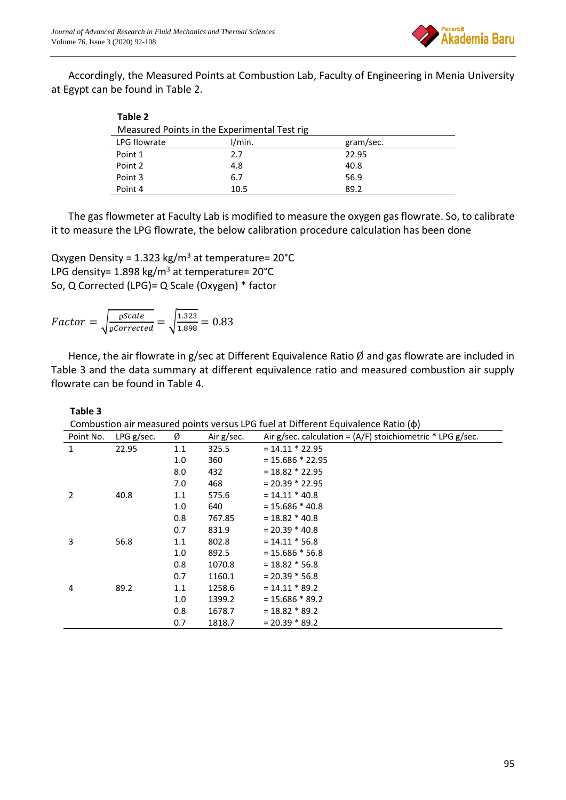

Accordingly, the Measured Points at Combustion Lab, Faculty of Engineering in Menia University at Egypt can be found in Table 2.

| Table 2                                      |        |           |  |
|----------------------------------------------|--------|-----------|--|
| Measured Points in the Experimental Test rig |        |           |  |
| LPG flowrate                                 | I/min. | gram/sec. |  |
| Point 1                                      | 2.7    | 22.95     |  |
| Point 2                                      | 4.8    | 40.8      |  |
| Point 3                                      | 6.7    | 56.9      |  |
| Point 4                                      | 10.5   | 89.2      |  |

The gas flowmeter at Faculty Lab is modified to measure the oxygen gas flowrate. So, to calibrate it to measure the LPG flowrate, the below calibration procedure calculation has been done

Qxygen Density =  $1.323$  kg/m<sup>3</sup> at temperature=  $20^{\circ}$ C LPG density=  $1.898$  kg/m<sup>3</sup> at temperature=  $20^{\circ}$ C So, Q Corrected (LPG)= Q Scale (Oxygen) \* factor

Factor = 
$$
\sqrt{\frac{\text{pScale}}{\text{pCorrected}}}
$$
 =  $\sqrt{\frac{1.323}{1.898}}$  = 0.83

Hence, the air flowrate in g/sec at Different Equivalence Ratio  $\emptyset$  and gas flowrate are included in Table 3 and the data summary at different equivalence ratio and measured combustion air supply flowrate can be found in Table 4.

#### **Table 3**

Combustion air measured points versus LPG fuel at Different Equivalence Ratio (ɸ)

| $\mathbf{r}$ |     |            |                                                              |  |
|--------------|-----|------------|--------------------------------------------------------------|--|
| LPG g/sec.   | Ø   | Air g/sec. | Air g/sec. calculation = $(A/F)$ stoichiometric * LPG g/sec. |  |
| 22.95        | 1.1 | 325.5      | $= 14.11 * 22.95$                                            |  |
|              | 1.0 | 360        | $= 15.686 * 22.95$                                           |  |
|              | 8.0 | 432        | $= 18.82 * 22.95$                                            |  |
|              | 7.0 | 468        | $= 20.39 * 22.95$                                            |  |
| 40.8         | 1.1 | 575.6      | $= 14.11 * 40.8$                                             |  |
|              | 1.0 | 640        | $= 15.686 * 40.8$                                            |  |
|              | 0.8 | 767.85     | $= 18.82 * 40.8$                                             |  |
|              | 0.7 | 831.9      | $= 20.39 * 40.8$                                             |  |
| 56.8         | 1.1 | 802.8      | $= 14.11 * 56.8$                                             |  |
|              | 1.0 | 892.5      | $= 15.686 * 56.8$                                            |  |
|              | 0.8 | 1070.8     | $= 18.82 * 56.8$                                             |  |
|              | 0.7 | 1160.1     | $= 20.39 * 56.8$                                             |  |
| 89.2         | 1.1 | 1258.6     | $= 14.11 * 89.2$                                             |  |
|              | 1.0 | 1399.2     | $= 15.686 * 89.2$                                            |  |
|              | 0.8 | 1678.7     | $= 18.82 * 89.2$                                             |  |
|              | 0.7 | 1818.7     | $= 20.39 * 89.2$                                             |  |
|              |     |            |                                                              |  |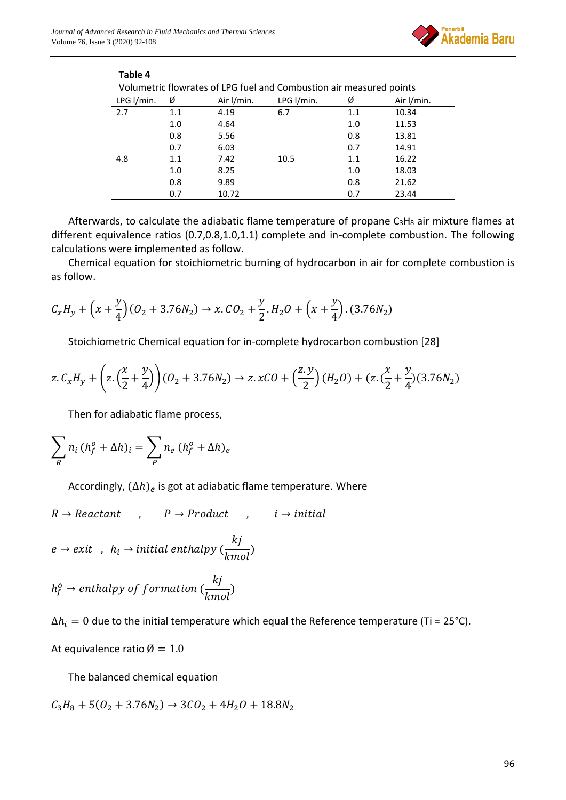**Table 4**



| Volumetric flowrates of LPG fuel and Combustion air measured points |     |            |            |     |            |
|---------------------------------------------------------------------|-----|------------|------------|-----|------------|
| LPG I/min.                                                          | Ø   | Air I/min. | LPG I/min. | Ø   | Air I/min. |
| 2.7                                                                 | 1.1 | 4.19       | 6.7        | 1.1 | 10.34      |
|                                                                     | 1.0 | 4.64       |            | 1.0 | 11.53      |
|                                                                     | 0.8 | 5.56       |            | 0.8 | 13.81      |
|                                                                     | 0.7 | 6.03       |            | 0.7 | 14.91      |
| 4.8                                                                 | 1.1 | 7.42       | 10.5       | 1.1 | 16.22      |
|                                                                     | 1.0 | 8.25       |            | 1.0 | 18.03      |
|                                                                     | 0.8 | 9.89       |            | 0.8 | 21.62      |
|                                                                     | 0.7 | 10.72      |            | 0.7 | 23.44      |
|                                                                     |     |            |            |     |            |

Afterwards, to calculate the adiabatic flame temperature of propane  $C_3H_8$  air mixture flames at different equivalence ratios (0.7,0.8,1.0,1.1) complete and in-complete combustion. The following calculations were implemented as follow.

Chemical equation for stoichiometric burning of hydrocarbon in air for complete combustion is as follow.

$$
\mathcal{C}_x H_y + \left(x + \frac{y}{4}\right) \left(O_2 + 3.76 N_2\right) \to x.\,\mathcal{C}O_2 + \frac{y}{2}.\,H_2O + \left(x + \frac{y}{4}\right). \,(3.76 N_2)
$$

Stoichiometric Chemical equation for in-complete hydrocarbon combustion [28]

$$
z. C_x H_y + \left(z. \left(\frac{x}{2} + \frac{y}{4}\right)\right) (0_2 + 3.76N_2) \to z. xCO + \left(\frac{z. y}{2}\right) (H_2 O) + (z. \left(\frac{x}{2} + \frac{y}{4}\right) (3.76N_2)
$$

Then for adiabatic flame process,

$$
\sum_{R} n_i (h_f^o + \Delta h)_i = \sum_{P} n_e (h_f^o + \Delta h)_e
$$

Accordingly,  $(\Delta h)_e$  is got at adiabatic flame temperature. Where

 $R \rightarrow Reactant$ ,  $P \rightarrow Product$ ,  $i \rightarrow initial$ 

$$
e \rightarrow exit \; , \; h_i \rightarrow initial \; enthalpy \; (\frac{kj}{kmol})
$$

$$
h_f^o \rightarrow enthalpy \ of \ formation \left(\frac{kj}{kmol}\right)
$$

 $\Delta h_i = 0$  due to the initial temperature which equal the Reference temperature (Ti = 25°C).

At equivalence ratio  $\varnothing = 1.0$ 

The balanced chemical equation

$$
\mathcal{C}_3H_8+5(\mathcal{O}_2+3.76N_2)\to 3\mathcal{CO}_2+4H_2O+18.8N_2
$$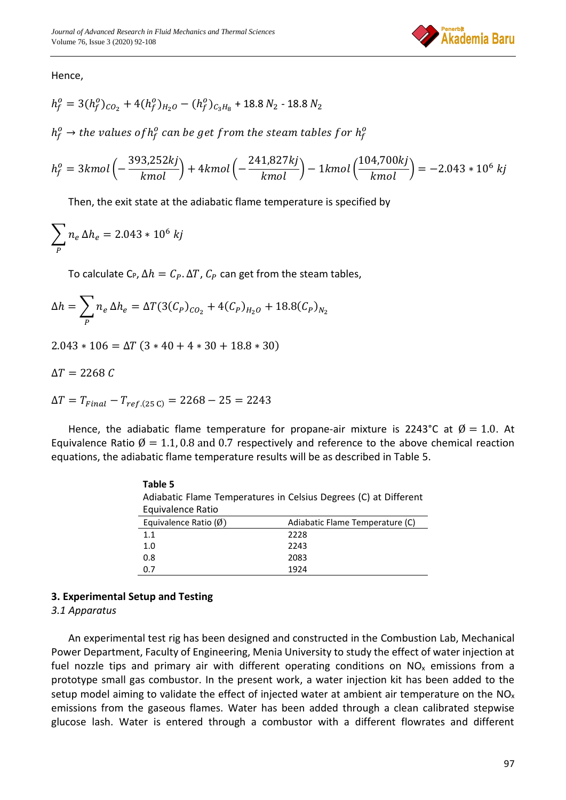

Hence,

$$
h_f^o = 3(h_f^o)_{CO_2} + 4(h_f^o)_{H_2O} - (h_f^o)_{C_3H_8} + 18.8 N_2 - 18.8 N_2
$$

 $h_f^o \rightarrow$  the values of  $h_f^o$  can be get from the steam tables for  $h_f^o$ 

$$
h_f^o = 3kmol\left(-\frac{393,252kj}{kmol}\right) + 4kmol\left(-\frac{241,827kj}{kmol}\right) - 1kmol\left(\frac{104,700kj}{kmol}\right) = -2.043 * 10^6 kj
$$

Then, the exit state at the adiabatic flame temperature is specified by

$$
\sum_{P} n_e \Delta h_e = 2.043 * 10^6 \text{ kj}
$$

To calculate C<sub>P</sub>,  $\Delta h = C_P$ .  $\Delta T$ ,  $C_P$  can get from the steam tables,

$$
\Delta h = \sum_{P} n_e \, \Delta h_e = \Delta T (3(C_P)_{CO_2} + 4(C_P)_{H_2O} + 18.8(C_P)_{N_2}
$$

 $2.043 * 106 = \Delta T (3 * 40 + 4 * 30 + 18.8 * 30)$ 

 $\Delta T = 2268 C$ 

$$
\Delta T = T_{Final} - T_{ref.(25\ C)} = 2268 - 25 = 2243
$$

Hence, the adiabatic flame temperature for propane-air mixture is 2243°C at  $\emptyset = 1.0$ . At Equivalence Ratio  $\emptyset = 1.1, 0.8$  and 0.7 respectively and reference to the above chemical reaction equations, the adiabatic flame temperature results will be as described in Table 5.

| Table 5                                                          |                                 |  |  |  |
|------------------------------------------------------------------|---------------------------------|--|--|--|
| Adiabatic Flame Temperatures in Celsius Degrees (C) at Different |                                 |  |  |  |
| Equivalence Ratio                                                |                                 |  |  |  |
| Equivalence Ratio $(\emptyset)$                                  | Adiabatic Flame Temperature (C) |  |  |  |
| 11                                                               | 2228                            |  |  |  |
| 1.0                                                              | 2243                            |  |  |  |
| 0.8                                                              | 2083                            |  |  |  |
| 0 7                                                              | 1924                            |  |  |  |

#### **3. Experimental Setup and Testing**

#### *3.1 Apparatus*

An experimental test rig has been designed and constructed in the Combustion Lab, Mechanical Power Department, Faculty of Engineering, Menia University to study the effect of water injection at fuel nozzle tips and primary air with different operating conditions on  $NO<sub>x</sub>$  emissions from a prototype small gas combustor. In the present work, a water injection kit has been added to the setup model aiming to validate the effect of injected water at ambient air temperature on the  $NO<sub>x</sub>$ emissions from the gaseous flames. Water has been added through a clean calibrated stepwise glucose lash. Water is entered through a combustor with a different flowrates and different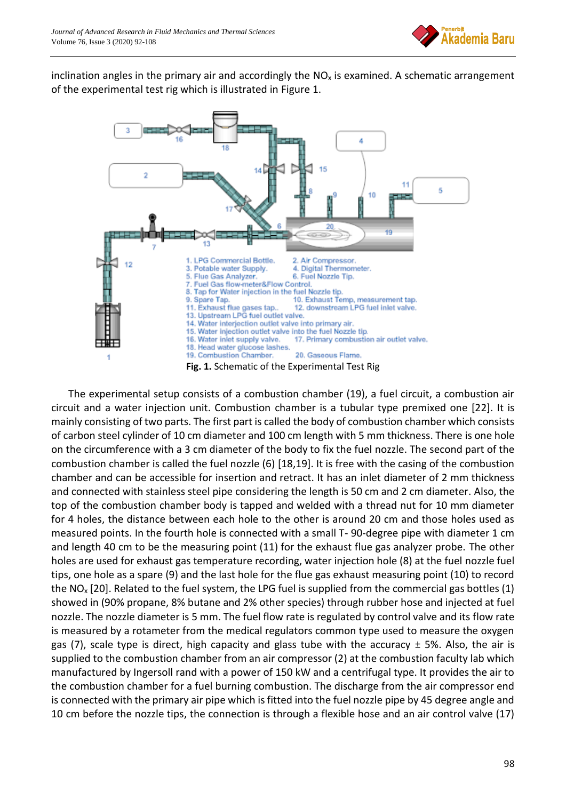

inclination angles in the primary air and accordingly the  $NO<sub>x</sub>$  is examined. A schematic arrangement of the experimental test rig which is illustrated in Figure 1.



The experimental setup consists of a combustion chamber (19), a fuel circuit, a combustion air circuit and a water injection unit. Combustion chamber is a tubular type premixed one [22]. It is mainly consisting of two parts. The first part is called the body of combustion chamber which consists of carbon steel cylinder of 10 cm diameter and 100 cm length with 5 mm thickness. There is one hole on the circumference with a 3 cm diameter of the body to fix the fuel nozzle. The second part of the combustion chamber is called the fuel nozzle (6) [18,19]. It is free with the casing of the combustion chamber and can be accessible for insertion and retract. It has an inlet diameter of 2 mm thickness and connected with stainless steel pipe considering the length is 50 cm and 2 cm diameter. Also, the top of the combustion chamber body is tapped and welded with a thread nut for 10 mm diameter for 4 holes, the distance between each hole to the other is around 20 cm and those holes used as measured points. In the fourth hole is connected with a small T- 90-degree pipe with diameter 1 cm and length 40 cm to be the measuring point (11) for the exhaust flue gas analyzer probe. The other holes are used for exhaust gas temperature recording, water injection hole (8) at the fuel nozzle fuel tips, one hole as a spare (9) and the last hole for the flue gas exhaust measuring point (10) to record the NO<sub>x</sub> [20]. Related to the fuel system, the LPG fuel is supplied from the commercial gas bottles (1) showed in (90% propane, 8% butane and 2% other species) through rubber hose and injected at fuel nozzle. The nozzle diameter is 5 mm. The fuel flow rate is regulated by control valve and its flow rate is measured by a rotameter from the medical regulators common type used to measure the oxygen gas (7), scale type is direct, high capacity and glass tube with the accuracy  $\pm$  5%. Also, the air is supplied to the combustion chamber from an air compressor (2) at the combustion faculty lab which manufactured by Ingersoll rand with a power of 150 kW and a centrifugal type. It provides the air to the combustion chamber for a fuel burning combustion. The discharge from the air compressor end is connected with the primary air pipe which is fitted into the fuel nozzle pipe by 45 degree angle and 10 cm before the nozzle tips, the connection is through a flexible hose and an air control valve (17)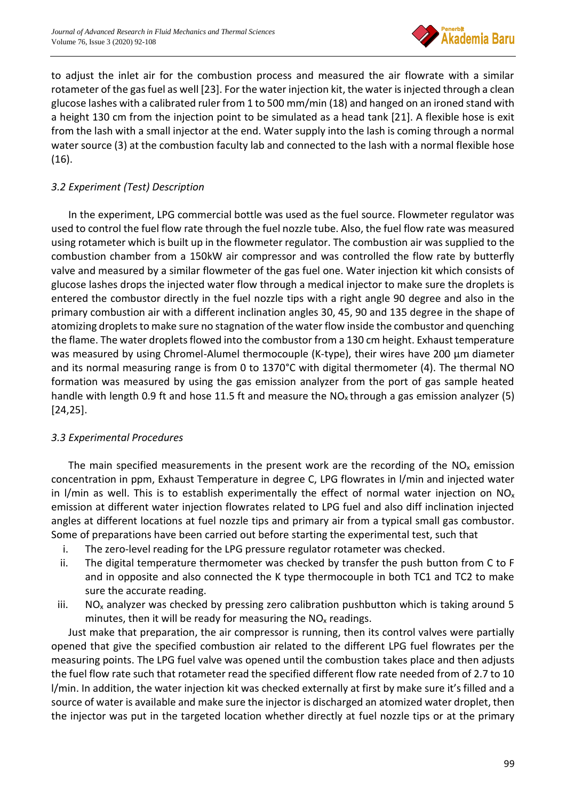

to adjust the inlet air for the combustion process and measured the air flowrate with a similar rotameter of the gas fuel as well [23]. For the water injection kit, the water is injected through a clean glucose lashes with a calibrated ruler from 1 to 500 mm/min (18) and hanged on an ironed stand with a height 130 cm from the injection point to be simulated as a head tank [21]. A flexible hose is exit from the lash with a small injector at the end. Water supply into the lash is coming through a normal water source (3) at the combustion faculty lab and connected to the lash with a normal flexible hose (16).

## *3.2 Experiment (Test) Description*

In the experiment, LPG commercial bottle was used as the fuel source. Flowmeter regulator was used to control the fuel flow rate through the fuel nozzle tube. Also, the fuel flow rate was measured using rotameter which is built up in the flowmeter regulator. The combustion air was supplied to the combustion chamber from a 150kW air compressor and was controlled the flow rate by butterfly valve and measured by a similar flowmeter of the gas fuel one. Water injection kit which consists of glucose lashes drops the injected water flow through a medical injector to make sure the droplets is entered the combustor directly in the fuel nozzle tips with a right angle 90 degree and also in the primary combustion air with a different inclination angles 30, 45, 90 and 135 degree in the shape of atomizing droplets to make sure no stagnation of the water flow inside the combustor and quenching the flame. The water droplets flowed into the combustor from a 130 cm height. Exhaust temperature was measured by using Chromel-Alumel thermocouple (K-type), their wires have 200 μm diameter and its normal measuring range is from 0 to 1370°C with digital thermometer (4). The thermal NO formation was measured by using the gas emission analyzer from the port of gas sample heated handle with length 0.9 ft and hose 11.5 ft and measure the  $NO_x$  through a gas emission analyzer (5) [24,25].

## *3.3 Experimental Procedures*

The main specified measurements in the present work are the recording of the  $NO<sub>x</sub>$  emission concentration in ppm, Exhaust Temperature in degree C, LPG flowrates in l/min and injected water in I/min as well. This is to establish experimentally the effect of normal water injection on  $NO<sub>x</sub>$ emission at different water injection flowrates related to LPG fuel and also diff inclination injected angles at different locations at fuel nozzle tips and primary air from a typical small gas combustor. Some of preparations have been carried out before starting the experimental test, such that

- i. The zero-level reading for the LPG pressure regulator rotameter was checked.
- ii. The digital temperature thermometer was checked by transfer the push button from C to F and in opposite and also connected the K type thermocouple in both TC1 and TC2 to make sure the accurate reading.
- iii.  $NO<sub>x</sub>$  analyzer was checked by pressing zero calibration pushbutton which is taking around 5 minutes, then it will be ready for measuring the  $NO<sub>x</sub>$  readings.

Just make that preparation, the air compressor is running, then its control valves were partially opened that give the specified combustion air related to the different LPG fuel flowrates per the measuring points. The LPG fuel valve was opened until the combustion takes place and then adjusts the fuel flow rate such that rotameter read the specified different flow rate needed from of 2.7 to 10 l/min. In addition, the water injection kit was checked externally at first by make sure it's filled and a source of water is available and make sure the injector is discharged an atomized water droplet, then the injector was put in the targeted location whether directly at fuel nozzle tips or at the primary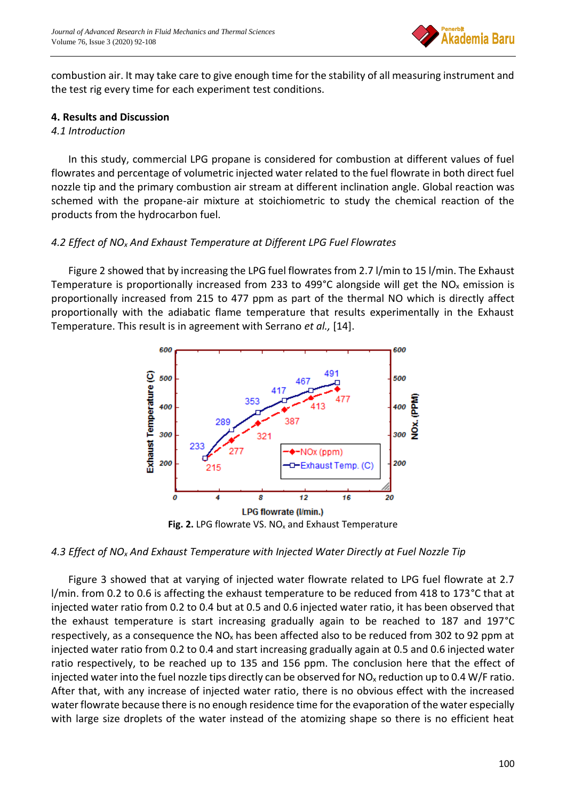

combustion air. It may take care to give enough time for the stability of all measuring instrument and the test rig every time for each experiment test conditions.

#### **4. Results and Discussion**

#### *4.1 Introduction*

In this study, commercial LPG propane is considered for combustion at different values of fuel flowrates and percentage of volumetric injected water related to the fuel flowrate in both direct fuel nozzle tip and the primary combustion air stream at different inclination angle. Global reaction was schemed with the propane-air mixture at stoichiometric to study the chemical reaction of the products from the hydrocarbon fuel.

## *4.2 Effect of NO<sup>x</sup> And Exhaust Temperature at Different LPG Fuel Flowrates*

Figure 2 showed that by increasing the LPG fuel flowrates from 2.7 l/min to 15 l/min. The Exhaust Temperature is proportionally increased from 233 to 499°C alongside will get the NO<sub>x</sub> emission is proportionally increased from 215 to 477 ppm as part of the thermal NO which is directly affect proportionally with the adiabatic flame temperature that results experimentally in the Exhaust Temperature. This result is in agreement with Serrano *et al.,* [14].



Fig. 2. LPG flowrate VS. NO<sub>x</sub> and Exhaust Temperature

## *4.3 Effect of NO<sup>x</sup> And Exhaust Temperature with Injected Water Directly at Fuel Nozzle Tip*

Figure 3 showed that at varying of injected water flowrate related to LPG fuel flowrate at 2.7 l/min. from 0.2 to 0.6 is affecting the exhaust temperature to be reduced from 418 to 173°C that at injected water ratio from 0.2 to 0.4 but at 0.5 and 0.6 injected water ratio, it has been observed that the exhaust temperature is start increasing gradually again to be reached to 187 and 197°C respectively, as a consequence the  $NO<sub>x</sub>$  has been affected also to be reduced from 302 to 92 ppm at injected water ratio from 0.2 to 0.4 and start increasing gradually again at 0.5 and 0.6 injected water ratio respectively, to be reached up to 135 and 156 ppm. The conclusion here that the effect of injected water into the fuel nozzle tips directly can be observed for  $NO<sub>x</sub>$  reduction up to 0.4 W/F ratio. After that, with any increase of injected water ratio, there is no obvious effect with the increased water flowrate because there is no enough residence time for the evaporation of the water especially with large size droplets of the water instead of the atomizing shape so there is no efficient heat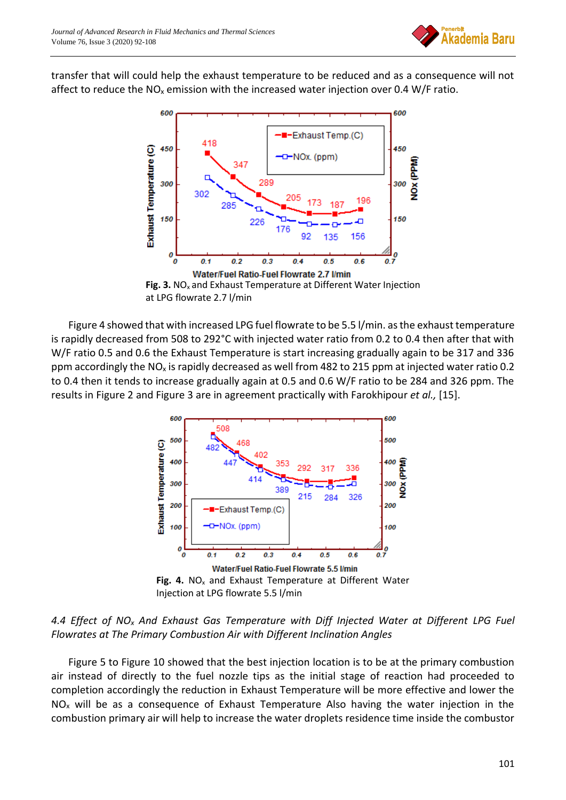

transfer that will could help the exhaust temperature to be reduced and as a consequence will not affect to reduce the  $NO<sub>x</sub>$  emission with the increased water injection over 0.4 W/F ratio.





Figure 4 showed that with increased LPG fuel flowrate to be 5.5 l/min. as the exhaust temperature is rapidly decreased from 508 to 292°C with injected water ratio from 0.2 to 0.4 then after that with W/F ratio 0.5 and 0.6 the Exhaust Temperature is start increasing gradually again to be 317 and 336 ppm accordingly the NO<sub>x</sub> is rapidly decreased as well from 482 to 215 ppm at injected water ratio 0.2 to 0.4 then it tends to increase gradually again at 0.5 and 0.6 W/F ratio to be 284 and 326 ppm. The results in Figure 2 and Figure 3 are in agreement practically with Farokhipour *et al.,* [15].



## *4.4 Effect of NO<sup>x</sup> And Exhaust Gas Temperature with Diff Injected Water at Different LPG Fuel Flowrates at The Primary Combustion Air with Different Inclination Angles*

Figure 5 to Figure 10 showed that the best injection location is to be at the primary combustion air instead of directly to the fuel nozzle tips as the initial stage of reaction had proceeded to completion accordingly the reduction in Exhaust Temperature will be more effective and lower the  $NO<sub>x</sub>$  will be as a consequence of Exhaust Temperature Also having the water injection in the combustion primary air will help to increase the water droplets residence time inside the combustor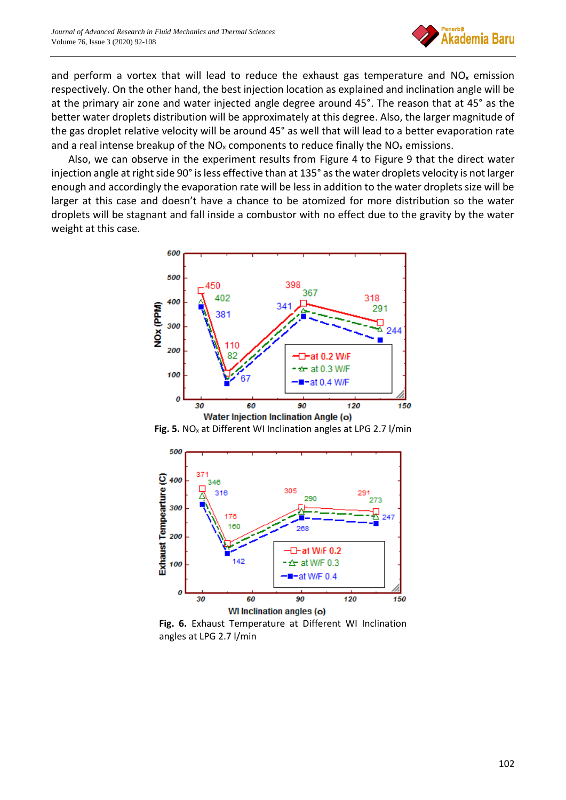

and perform a vortex that will lead to reduce the exhaust gas temperature and  $NO<sub>x</sub>$  emission respectively. On the other hand, the best injection location as explained and inclination angle will be at the primary air zone and water injected angle degree around 45°. The reason that at 45° as the better water droplets distribution will be approximately at this degree. Also, the larger magnitude of the gas droplet relative velocity will be around 45° as well that will lead to a better evaporation rate and a real intense breakup of the  $NO<sub>x</sub>$  components to reduce finally the  $NO<sub>x</sub>$  emissions.

Also, we can observe in the experiment results from Figure 4 to Figure 9 that the direct water injection angle at right side 90° is less effective than at 135° as the water droplets velocity is not larger enough and accordingly the evaporation rate will be less in addition to the water droplets size will be larger at this case and doesn't have a chance to be atomized for more distribution so the water droplets will be stagnant and fall inside a combustor with no effect due to the gravity by the water weight at this case.



**Fig. 5.** NO<sub>x</sub> at Different WI Inclination angles at LPG 2.7 l/min



**Fig. 6.** Exhaust Temperature at Different WI Inclination angles at LPG 2.7 l/min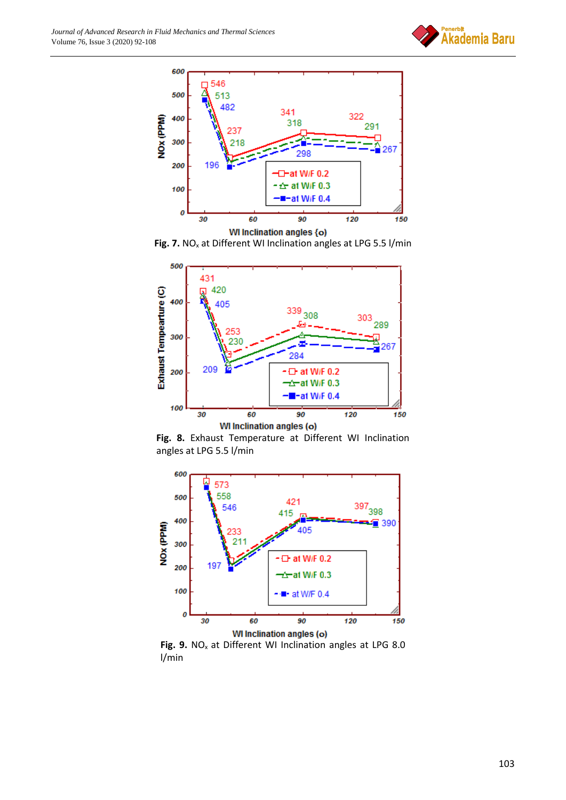



**Fig. 7.** NO<sub>x</sub> at Different WI Inclination angles at LPG 5.5 l/min



**Fig. 8.** Exhaust Temperature at Different WI Inclination angles at LPG 5.5 l/min



Fig. 9. NO<sub>x</sub> at Different WI Inclination angles at LPG 8.0 l/min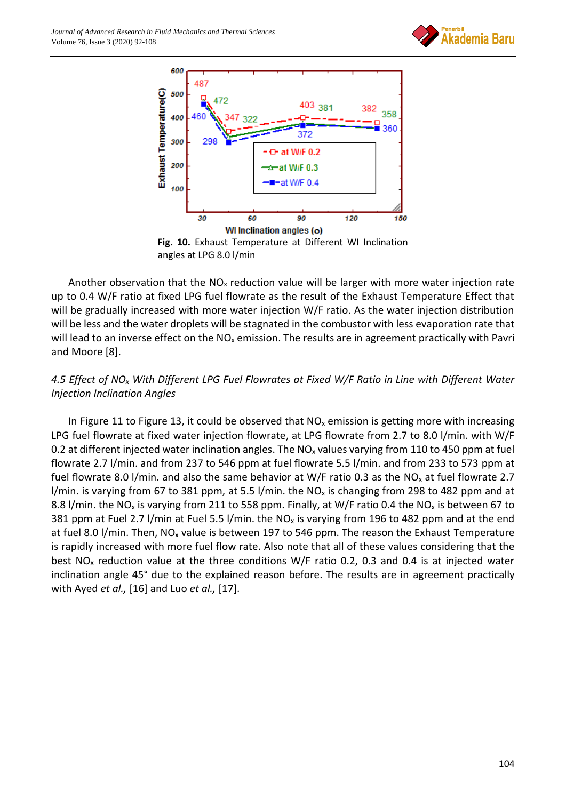



**Fig. 10.** Exhaust Temperature at Different WI Inclination angles at LPG 8.0 l/min

Another observation that the  $NO<sub>x</sub>$  reduction value will be larger with more water injection rate up to 0.4 W/F ratio at fixed LPG fuel flowrate as the result of the Exhaust Temperature Effect that will be gradually increased with more water injection W/F ratio. As the water injection distribution will be less and the water droplets will be stagnated in the combustor with less evaporation rate that will lead to an inverse effect on the  $NO<sub>x</sub>$  emission. The results are in agreement practically with Pavri and Moore [8].

## *4.5 Effect of NO<sup>x</sup> With Different LPG Fuel Flowrates at Fixed W/F Ratio in Line with Different Water Injection Inclination Angles*

In Figure 11 to Figure 13, it could be observed that  $NO<sub>x</sub>$  emission is getting more with increasing LPG fuel flowrate at fixed water injection flowrate, at LPG flowrate from 2.7 to 8.0 l/min. with W/F 0.2 at different injected water inclination angles. The  $NO<sub>x</sub>$  values varying from 110 to 450 ppm at fuel flowrate 2.7 l/min. and from 237 to 546 ppm at fuel flowrate 5.5 l/min. and from 233 to 573 ppm at fuel flowrate 8.0 l/min. and also the same behavior at W/F ratio 0.3 as the NO<sub>x</sub> at fuel flowrate 2.7 l/min. is varying from 67 to 381 ppm, at 5.5 l/min. the NO<sub>x</sub> is changing from 298 to 482 ppm and at 8.8 l/min. the NO<sub>x</sub> is varying from 211 to 558 ppm. Finally, at W/F ratio 0.4 the NO<sub>x</sub> is between 67 to 381 ppm at Fuel 2.7 l/min at Fuel 5.5 l/min. the NO<sub>x</sub> is varying from 196 to 482 ppm and at the end at fuel 8.0 l/min. Then,  $NO_x$  value is between 197 to 546 ppm. The reason the Exhaust Temperature is rapidly increased with more fuel flow rate. Also note that all of these values considering that the best NO<sub>x</sub> reduction value at the three conditions W/F ratio 0.2, 0.3 and 0.4 is at injected water inclination angle 45° due to the explained reason before. The results are in agreement practically with Ayed *et al.,* [16] and Luo *et al.,* [17].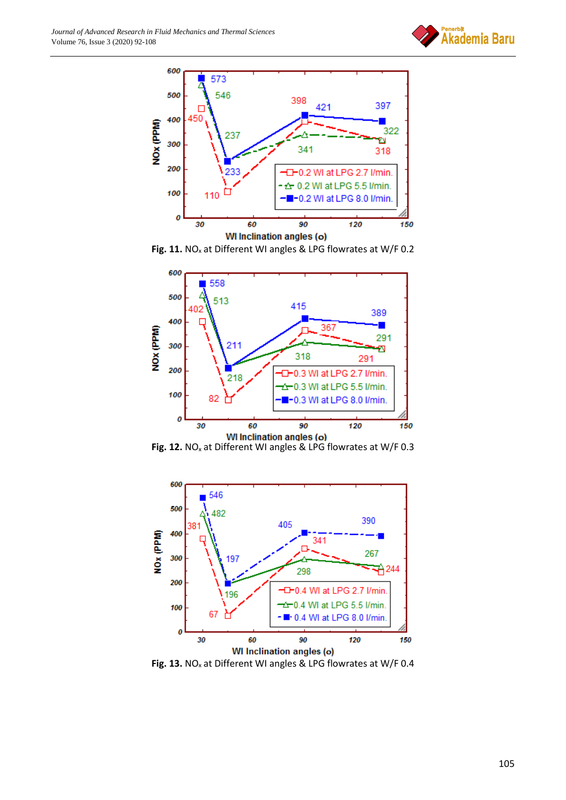



Fig. 11. NO<sub>x</sub> at Different WI angles & LPG flowrates at W/F 0.2



Fig. 12. NO<sub>x</sub> at Different WI angles & LPG flowrates at W/F 0.3



Fig. 13. NO<sub>x</sub> at Different WI angles & LPG flowrates at W/F 0.4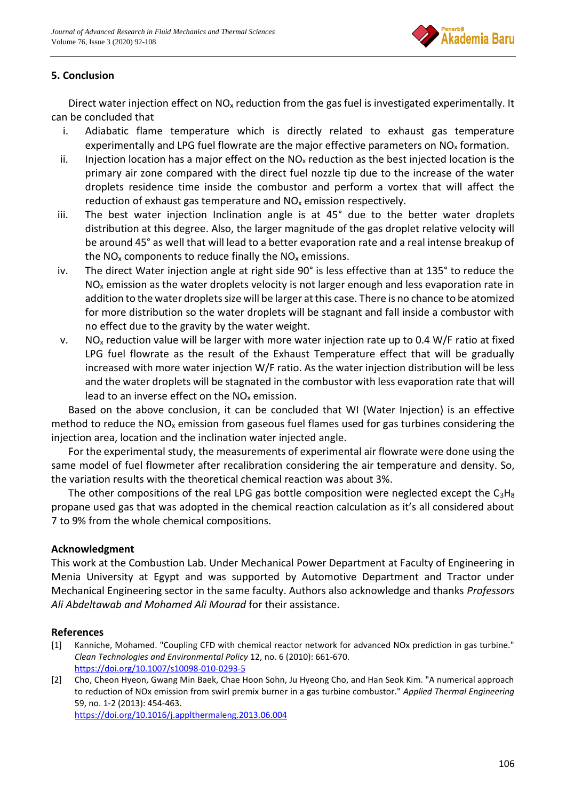

# **5. Conclusion**

Direct water injection effect on  $NO<sub>x</sub>$  reduction from the gas fuel is investigated experimentally. It can be concluded that

- i. Adiabatic flame temperature which is directly related to exhaust gas temperature experimentally and LPG fuel flowrate are the major effective parameters on  $NO<sub>x</sub>$  formation.
- ii. Injection location has a major effect on the  $NO<sub>x</sub>$  reduction as the best injected location is the primary air zone compared with the direct fuel nozzle tip due to the increase of the water droplets residence time inside the combustor and perform a vortex that will affect the reduction of exhaust gas temperature and  $NO<sub>x</sub>$  emission respectively.
- iii. The best water injection Inclination angle is at 45° due to the better water droplets distribution at this degree. Also, the larger magnitude of the gas droplet relative velocity will be around 45° as well that will lead to a better evaporation rate and a real intense breakup of the  $NO<sub>x</sub>$  components to reduce finally the  $NO<sub>x</sub>$  emissions.
- iv. The direct Water injection angle at right side 90° is less effective than at 135° to reduce the  $NO<sub>x</sub>$  emission as the water droplets velocity is not larger enough and less evaporation rate in addition to the water droplets size will be larger at this case. There is no chance to be atomized for more distribution so the water droplets will be stagnant and fall inside a combustor with no effect due to the gravity by the water weight.
- v. NO<sub>x</sub> reduction value will be larger with more water injection rate up to 0.4 W/F ratio at fixed LPG fuel flowrate as the result of the Exhaust Temperature effect that will be gradually increased with more water injection W/F ratio. As the water injection distribution will be less and the water droplets will be stagnated in the combustor with less evaporation rate that will lead to an inverse effect on the  $NO<sub>x</sub>$  emission.

Based on the above conclusion, it can be concluded that WI (Water Injection) is an effective method to reduce the  $NO<sub>x</sub>$  emission from gaseous fuel flames used for gas turbines considering the injection area, location and the inclination water injected angle.

For the experimental study, the measurements of experimental air flowrate were done using the same model of fuel flowmeter after recalibration considering the air temperature and density. So, the variation results with the theoretical chemical reaction was about 3%.

The other compositions of the real LPG gas bottle composition were neglected except the  $C_3H_8$ propane used gas that was adopted in the chemical reaction calculation as it's all considered about 7 to 9% from the whole chemical compositions.

# **Acknowledgment**

This work at the Combustion Lab. Under Mechanical Power Department at Faculty of Engineering in Menia University at Egypt and was supported by Automotive Department and Tractor under Mechanical Engineering sector in the same faculty. Authors also acknowledge and thanks *Professors Ali Abdeltawab and Mohamed Ali Mourad* for their assistance.

## **References**

- [1] Kanniche, Mohamed. "Coupling CFD with chemical reactor network for advanced NOx prediction in gas turbine." *Clean Technologies and Environmental Policy* 12, no. 6 (2010): 661-670. <https://doi.org/10.1007/s10098-010-0293-5>
- [2] Cho, Cheon Hyeon, Gwang Min Baek, Chae Hoon Sohn, Ju Hyeong Cho, and Han Seok Kim. "A numerical approach to reduction of NOx emission from swirl premix burner in a gas turbine combustor." *Applied Thermal Engineering* 59, no. 1-2 (2013): 454-463. <https://doi.org/10.1016/j.applthermaleng.2013.06.004>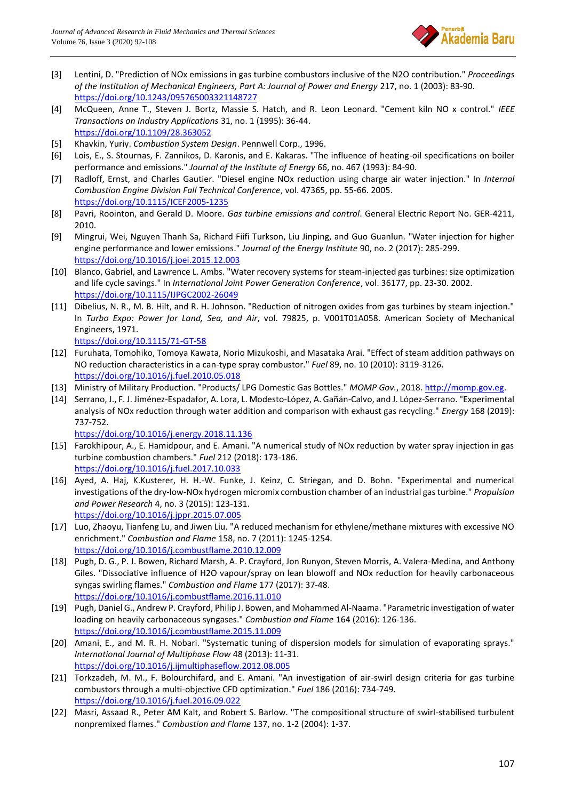

- [3] Lentini, D. "Prediction of NOx emissions in gas turbine combustors inclusive of the N2O contribution." *Proceedings of the Institution of Mechanical Engineers, Part A: Journal of Power and Energy* 217, no. 1 (2003): 83-90. <https://doi.org/10.1243/095765003321148727>
- [4] McQueen, Anne T., Steven J. Bortz, Massie S. Hatch, and R. Leon Leonard. "Cement kiln NO x control." *IEEE Transactions on Industry Applications* 31, no. 1 (1995): 36-44. <https://doi.org/10.1109/28.363052>
- [5] Khavkin, Yuriy. *Combustion System Design*. Pennwell Corp., 1996.
- [6] Lois, E., S. Stournas, F. Zannikos, D. Karonis, and E. Kakaras. "The influence of heating-oil specifications on boiler performance and emissions." *Journal of the Institute of Energy* 66, no. 467 (1993): 84-90.
- [7] Radloff, Ernst, and Charles Gautier. "Diesel engine NOx reduction using charge air water injection." In *Internal Combustion Engine Division Fall Technical Conference*, vol. 47365, pp. 55-66. 2005. <https://doi.org/10.1115/ICEF2005-1235>
- [8] Pavri, Roointon, and Gerald D. Moore. *Gas turbine emissions and control*. General Electric Report No. GER-4211, 2010.
- [9] Mingrui, Wei, Nguyen Thanh Sa, Richard Fiifi Turkson, Liu Jinping, and Guo Guanlun. "Water injection for higher engine performance and lower emissions." *Journal of the Energy Institute* 90, no. 2 (2017): 285-299. <https://doi.org/10.1016/j.joei.2015.12.003>
- [10] Blanco, Gabriel, and Lawrence L. Ambs. "Water recovery systems for steam-injected gas turbines: size optimization and life cycle savings." In *International Joint Power Generation Conference*, vol. 36177, pp. 23-30. 2002. <https://doi.org/10.1115/IJPGC2002-26049>
- [11] Dibelius, N. R., M. B. Hilt, and R. H. Johnson. "Reduction of nitrogen oxides from gas turbines by steam injection." In *Turbo Expo: Power for Land, Sea, and Air*, vol. 79825, p. V001T01A058. American Society of Mechanical Engineers, 1971.
	- <https://doi.org/10.1115/71-GT-58>
- [12] Furuhata, Tomohiko, Tomoya Kawata, Norio Mizukoshi, and Masataka Arai. "Effect of steam addition pathways on NO reduction characteristics in a can-type spray combustor." *Fuel* 89, no. 10 (2010): 3119-3126. <https://doi.org/10.1016/j.fuel.2010.05.018>
- [13] Ministry of Military Production. "Products/ LPG Domestic Gas Bottles." *MOMP Gov.*, 2018. [http://momp.gov.eg.](http://momp.gov.eg/)
- [14] Serrano, J., F. J. Jiménez-Espadafor, A. Lora, L. Modesto-López, A. Gañán-Calvo, and J. López-Serrano. "Experimental analysis of NOx reduction through water addition and comparison with exhaust gas recycling." *Energy* 168 (2019): 737-752.
	- <https://doi.org/10.1016/j.energy.2018.11.136>
- [15] Farokhipour, A., E. Hamidpour, and E. Amani. "A numerical study of NOx reduction by water spray injection in gas turbine combustion chambers." *Fuel* 212 (2018): 173-186. <https://doi.org/10.1016/j.fuel.2017.10.033>
- [16] Ayed, A. Haj, K.Kusterer, H. H.-W. Funke, J. Keinz, C. Striegan, and D. Bohn. "Experimental and numerical investigations of the dry-low-NOx hydrogen micromix combustion chamber of an industrial gas turbine." *Propulsion and Power Research* 4, no. 3 (2015): 123-131. <https://doi.org/10.1016/j.jppr.2015.07.005>
- [17] Luo, Zhaoyu, Tianfeng Lu, and Jiwen Liu. "A reduced mechanism for ethylene/methane mixtures with excessive NO enrichment." *Combustion and Flame* 158, no. 7 (2011): 1245-1254. <https://doi.org/10.1016/j.combustflame.2010.12.009>
- [18] Pugh, D. G., P. J. Bowen, Richard Marsh, A. P. Crayford, Jon Runyon, Steven Morris, A. Valera-Medina, and Anthony Giles. "Dissociative influence of H2O vapour/spray on lean blowoff and NOx reduction for heavily carbonaceous syngas swirling flames." *Combustion and Flame* 177 (2017): 37-48. <https://doi.org/10.1016/j.combustflame.2016.11.010>
- [19] Pugh, Daniel G., Andrew P. Crayford, Philip J. Bowen, and Mohammed Al-Naama. "Parametric investigation of water loading on heavily carbonaceous syngases." *Combustion and Flame* 164 (2016): 126-136. <https://doi.org/10.1016/j.combustflame.2015.11.009>
- [20] Amani, E., and M. R. H. Nobari. "Systematic tuning of dispersion models for simulation of evaporating sprays." *International Journal of Multiphase Flow* 48 (2013): 11-31. <https://doi.org/10.1016/j.ijmultiphaseflow.2012.08.005>
- [21] Torkzadeh, M. M., F. Bolourchifard, and E. Amani. "An investigation of air-swirl design criteria for gas turbine combustors through a multi-objective CFD optimization." *Fuel* 186 (2016): 734-749. <https://doi.org/10.1016/j.fuel.2016.09.022>
- [22] Masri, Assaad R., Peter AM Kalt, and Robert S. Barlow. "The compositional structure of swirl-stabilised turbulent nonpremixed flames." *Combustion and Flame* 137, no. 1-2 (2004): 1-37.